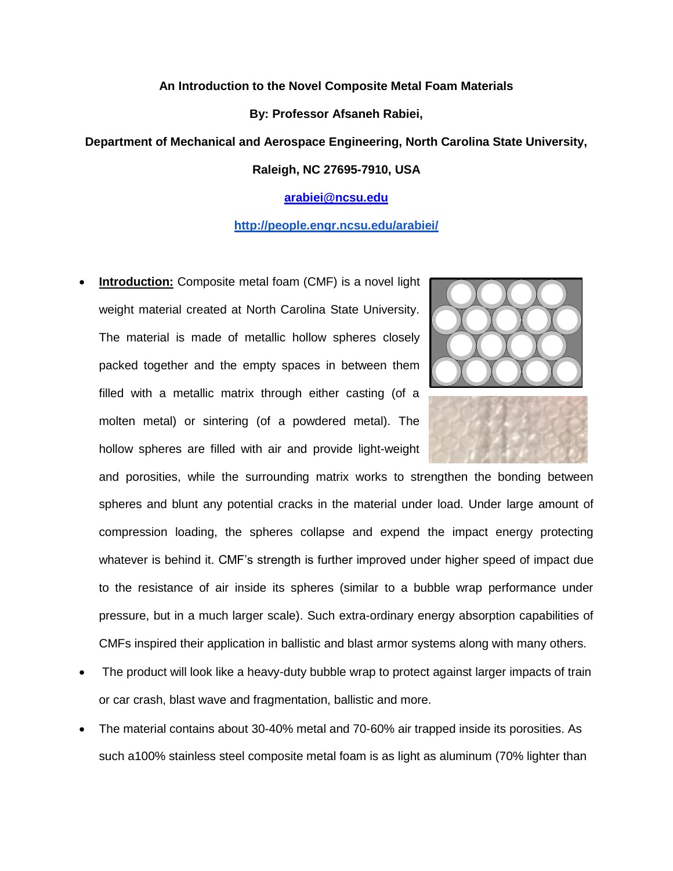## **An Introduction to the Novel Composite Metal Foam Materials**

#### **By: Professor Afsaneh Rabiei,**

### **Department of Mechanical and Aerospace Engineering, North Carolina State University,**

## **Raleigh, NC 27695-7910, USA**

# **[arabiei@ncsu.edu](mailto:arabiei@ncsu.edu)**

# **<http://people.engr.ncsu.edu/arabiei/>**

 **Introduction:** Composite metal foam (CMF) is a novel light weight material created at North Carolina State University. The material is made of metallic hollow spheres closely packed together and the empty spaces in between them filled with a metallic matrix through either casting (of a molten metal) or sintering (of a powdered metal). The hollow spheres are filled with air and provide light-weight



and porosities, while the surrounding matrix works to strengthen the bonding between spheres and blunt any potential cracks in the material under load. Under large amount of compression loading, the spheres collapse and expend the impact energy protecting whatever is behind it. CMF's strength is further improved under higher speed of impact due to the resistance of air inside its spheres (similar to a bubble wrap performance under pressure, but in a much larger scale). Such extra-ordinary energy absorption capabilities of CMFs inspired their application in ballistic and blast armor systems along with many others.

- The product will look like a heavy-duty bubble wrap to protect against larger impacts of train or car crash, blast wave and fragmentation, ballistic and more.
- The material contains about 30-40% metal and 70-60% air trapped inside its porosities. As such a100% stainless steel composite metal foam is as light as aluminum (70% lighter than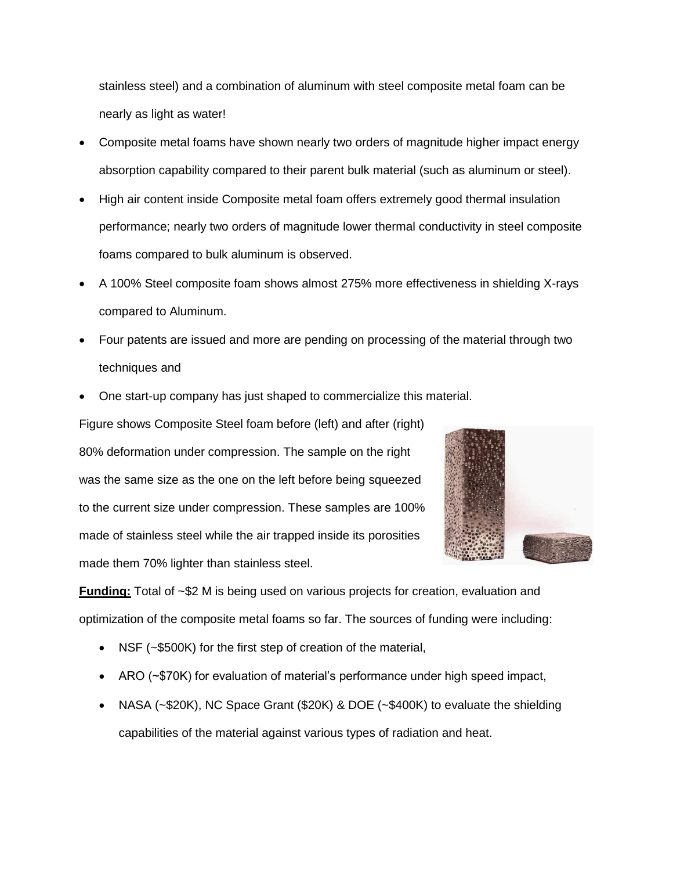stainless steel) and a combination of aluminum with steel composite metal foam can be nearly as light as water!

- Composite metal foams have shown nearly two orders of magnitude higher impact energy absorption capability compared to their parent bulk material (such as aluminum or steel).
- High air content inside Composite metal foam offers extremely good thermal insulation performance; nearly two orders of magnitude lower thermal conductivity in steel composite foams compared to bulk aluminum is observed.
- A 100% Steel composite foam shows almost 275% more effectiveness in shielding X-rays compared to Aluminum.
- Four patents are issued and more are pending on processing of the material through two techniques and
- One start-up company has just shaped to commercialize this material.

Figure shows Composite Steel foam before (left) and after (right) 80% deformation under compression. The sample on the right was the same size as the one on the left before being squeezed to the current size under compression. These samples are 100% made of stainless steel while the air trapped inside its porosities made them 70% lighter than stainless steel.



**Funding:** Total of ~\$2 M is being used on various projects for creation, evaluation and optimization of the composite metal foams so far. The sources of funding were including:

- NSF (~\$500K) for the first step of creation of the material,
- ARO (~\$70K) for evaluation of material's performance under high speed impact,
- NASA (~\$20K), NC Space Grant (\$20K) & DOE (~\$400K) to evaluate the shielding capabilities of the material against various types of radiation and heat.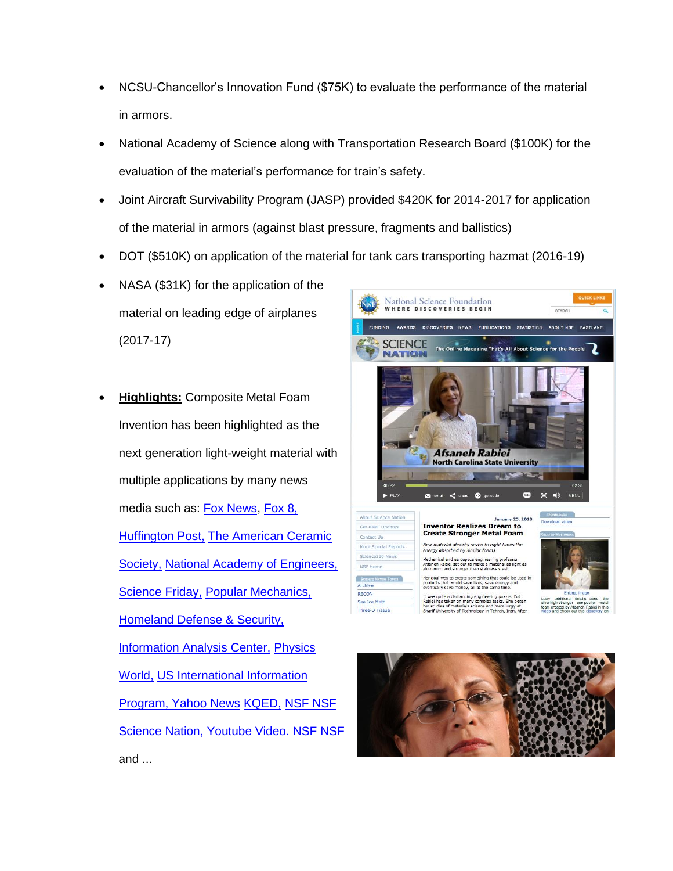- NCSU-Chancellor's Innovation Fund (\$75K) to evaluate the performance of the material in armors.
- National Academy of Science along with Transportation Research Board (\$100K) for the evaluation of the material's performance for train's safety.
- Joint Aircraft Survivability Program (JASP) provided \$420K for 2014-2017 for application of the material in armors (against blast pressure, fragments and ballistics)
- DOT (\$510K) on application of the material for tank cars transporting hazmat (2016-19)
- NASA (\$31K) for the application of the material on leading edge of airplanes (2017-17)
- **Highlights:** Composite Metal Foam Invention has been highlighted as the next generation light-weight material with multiple applications by many news media such as: [Fox News,](http://www.foxnews.com/tech/2017/02/23/this-foam-stops-bullets-cold-and-pulverizes-them-to-dust.html) [Fox 8,](http://myfox8.com/2016/05/18/north-carolina-state-scientist-creates-metal-foam/) **[Huffington Post,](http://www.huffingtonpost.com/entry/metal-foam-bulletproof-armor_us_570ba835e4b0142232496066) The American Ceramic** [Society,](http://ceramics.org/ceramic-tech-today/video-could-composite-metal-foams-give-ceramic-materials-a-run-for-their-money) [National Academy of Engineers,](https://www.nae.edu/Projects/20730/wtop/152287.aspx) [Science Friday,](https://www.sciencefriday.com/segments/for-your-protection-a-new-kind-of-metal/) [Popular Mechanics,](http://www.popularmechanics.com/military/research/a20601/metal-foam-stops-bullets/) [Homeland Defense & Security,](https://www.hdiac.org/node/2118)  **[Information Analysis Center,](https://www.hdiac.org/node/2118) Physics** [World,](http://physicsworld.com/cws/article/news/2015/jul/24/metal-foams-could-make-promising-radiation-shields) [US International Information](http://iipdigital.usembassy.gov/st/english/article/2010/02/20100212172657cjnorab0.9955255.html#axzz4bKOkpATi)  [Program,](http://iipdigital.usembassy.gov/st/english/article/2010/02/20100212172657cjnorab0.9955255.html#axzz4bKOkpATi) [Yahoo News](https://www.yahoo.com/news/watch-metal-foam-dissolves-bullet-182400907.html) [KQED,](https://ww2.kqed.org/learning/2016/05/26/can-we-stop-good-inventions-from-going-bad/) [NSF](https://www.nsf.gov/news/news_summ.jsp?cntn_id=126998) [NSF](https://wn.com/afsaneh_rabiei)  [Science Nation,](https://wn.com/afsaneh_rabiei) [Youtube Video.](https://www.youtube.com/watch?v=wfFcs25KmMc) [NSF](https://www.nsf.gov/news/special_reports/science_nation/metalfoam.jsp) [NSF](https://www.nsf.gov/discoveries/disc_summ.jsp?cntn_id=112486) and ...



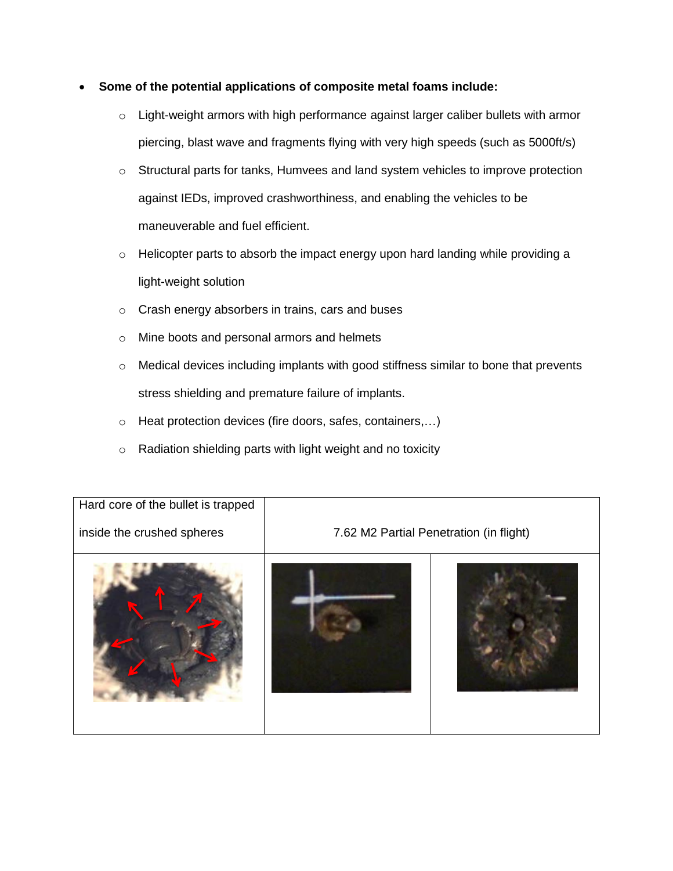- **Some of the potential applications of composite metal foams include:**
	- o Light-weight armors with high performance against larger caliber bullets with armor piercing, blast wave and fragments flying with very high speeds (such as 5000ft/s)
	- o Structural parts for tanks, Humvees and land system vehicles to improve protection against IEDs, improved crashworthiness, and enabling the vehicles to be maneuverable and fuel efficient.
	- o Helicopter parts to absorb the impact energy upon hard landing while providing a light-weight solution
	- o Crash energy absorbers in trains, cars and buses
	- o Mine boots and personal armors and helmets
	- o Medical devices including implants with good stiffness similar to bone that prevents stress shielding and premature failure of implants.
	- o Heat protection devices (fire doors, safes, containers,…)
	- o Radiation shielding parts with light weight and no toxicity

| Hard core of the bullet is trapped<br>inside the crushed spheres | 7.62 M2 Partial Penetration (in flight) |  |
|------------------------------------------------------------------|-----------------------------------------|--|
|                                                                  |                                         |  |